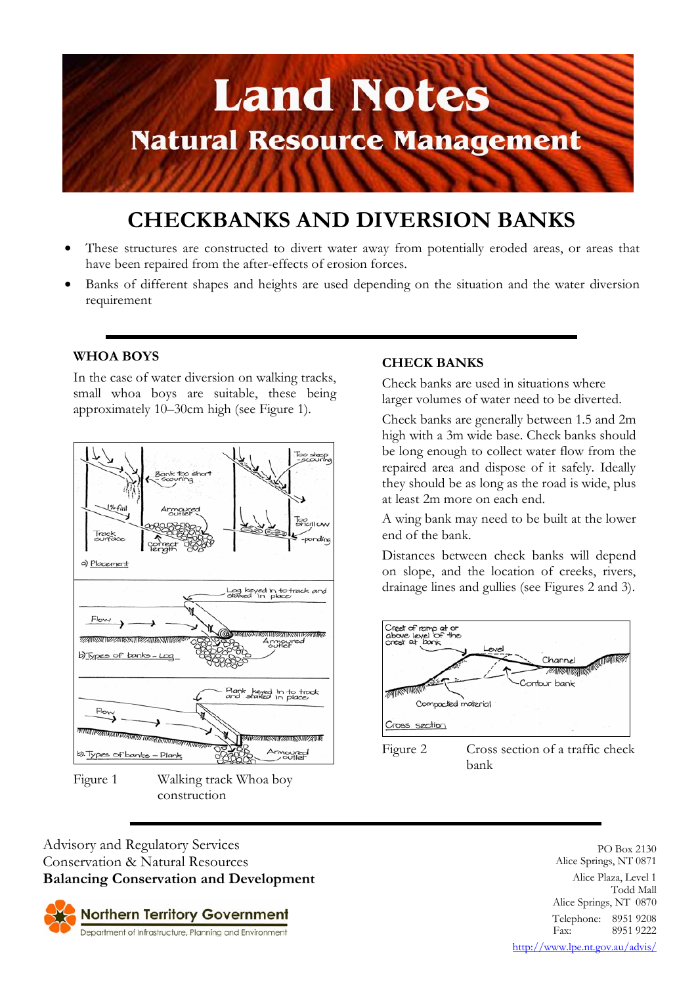

# **CHECKBANKS AND DIVERSION BANKS**

- These structures are constructed to divert water away from potentially eroded areas, or areas that have been repaired from the after-effects of erosion forces.
- Banks of different shapes and heights are used depending on the situation and the water diversion requirement

## **WHOA BOYS**

In the case of water diversion on walking tracks, small whoa boys are suitable, these being approximately 10–30cm high (see Figure 1).



Figure 1 Walking track Whoa boy construction

#### **CHECK BANKS**

Check banks are used in situations where larger volumes of water need to be diverted.

Check banks are generally between 1.5 and 2m high with a 3m wide base. Check banks should be long enough to collect water flow from the repaired area and dispose of it safely. Ideally they should be as long as the road is wide, plus at least 2m more on each end.

A wing bank may need to be built at the lower end of the bank.

Distances between check banks will depend on slope, and the location of creeks, rivers, drainage lines and gullies (see Figures 2 and 3).



Figure 2 Cross section of a traffic check bank

Advisory and Regulatory Services Conservation & Natural Resources **Balancing Conservation and Development**



PO Box 2130 Alice Springs, NT 0871 Alice Plaza, Level 1 Todd Mall Alice Springs, NT 0870 Telephone: 8951 9208<br>Fax: 8951 9222 Fax: 8951 9222 http://www.lpe.nt.gov.au/advis/